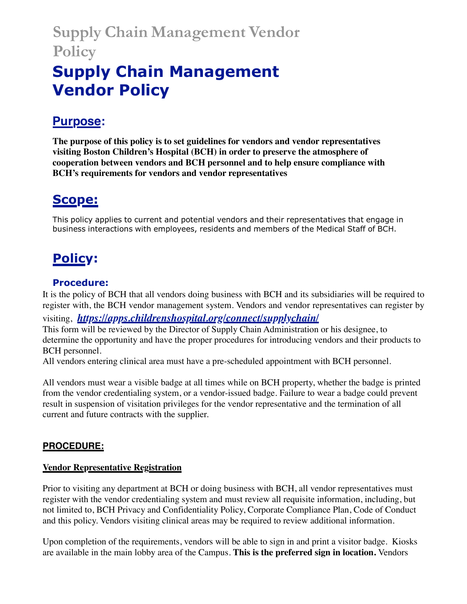# **Supply Chain Management Vendor Policy**

# **Supply Chain Management Vendor Policy**

## **Purpose:**

**The purpose of this policy is to set guidelines for vendors and vendor representatives visiting Boston Children's Hospital (BCH) in order to preserve the atmosphere of cooperation between vendors and BCH personnel and to help ensure compliance with BCH's requirements for vendors and vendor representatives**

## **Scope:**

This policy applies to current and potential vendors and their representatives that engage in business interactions with employees, residents and members of the Medical Staff of BCH.

## **Policy:**

### **Procedure:**

It is the policy of BCH that all vendors doing business with BCH and its subsidiaries will be required to register with, the BCH vendor management system. Vendors and vendor representatives can register by visiting, *https://apps.childrenshospital.org/connect/supplychain/* This form will be reviewed by the Director of Supply Chain Administration or his designee, to determine the opportunity and have the proper procedures for introducing vendors and their products to BCH personnel.

All vendors entering clinical area must have a pre-scheduled appointment with BCH personnel.

All vendors must wear a visible badge at all times while on BCH property, whether the badge is printed from the vendor credentialing system, or a vendor-issued badge. Failure to wear a badge could prevent result in suspension of visitation privileges for the vendor representative and the termination of all current and future contracts with the supplier.

### **PROCEDURE:**

#### **Vendor Representative Registration**

Prior to visiting any department at BCH or doing business with BCH, all vendor representatives must register with the vendor credentialing system and must review all requisite information, including, but not limited to, BCH Privacy and Confidentiality Policy, Corporate Compliance Plan, Code of Conduct and this policy. Vendors visiting clinical areas may be required to review additional information.

Upon completion of the requirements, vendors will be able to sign in and print a visitor badge. Kiosks are available in the main lobby area of the Campus. **This is the preferred sign in location.** Vendors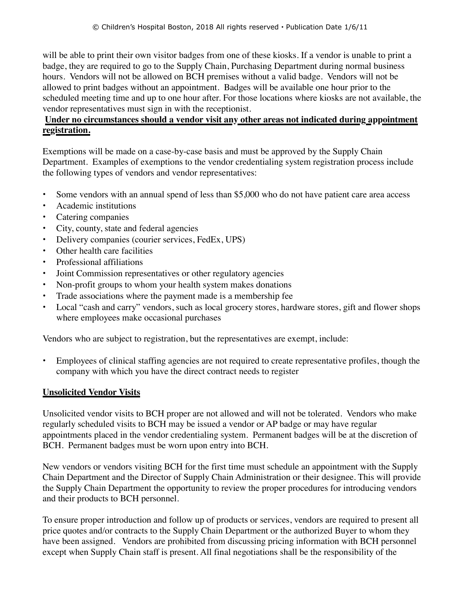will be able to print their own visitor badges from one of these kiosks. If a vendor is unable to print a badge, they are required to go to the Supply Chain, Purchasing Department during normal business hours. Vendors will not be allowed on BCH premises without a valid badge. Vendors will not be allowed to print badges without an appointment. Badges will be available one hour prior to the scheduled meeting time and up to one hour after. For those locations where kiosks are not available, the vendor representatives must sign in with the receptionist.

#### **Under no circumstances should a vendor visit any other areas not indicated during appointment registration.**

Exemptions will be made on a case-by-case basis and must be approved by the Supply Chain Department. Examples of exemptions to the vendor credentialing system registration process include the following types of vendors and vendor representatives:

- Some vendors with an annual spend of less than \$5,000 who do not have patient care area access
- Academic institutions
- Catering companies
- City, county, state and federal agencies
- Delivery companies (courier services, FedEx, UPS)
- Other health care facilities
- Professional affiliations
- Joint Commission representatives or other regulatory agencies
- Non-profit groups to whom your health system makes donations
- Trade associations where the payment made is a membership fee
- Local "cash and carry" vendors, such as local grocery stores, hardware stores, gift and flower shops where employees make occasional purchases

Vendors who are subject to registration, but the representatives are exempt, include:

• Employees of clinical staffing agencies are not required to create representative profiles, though the company with which you have the direct contract needs to register

#### **Unsolicited Vendor Visits**

Unsolicited vendor visits to BCH proper are not allowed and will not be tolerated. Vendors who make regularly scheduled visits to BCH may be issued a vendor or AP badge or may have regular appointments placed in the vendor credentialing system. Permanent badges will be at the discretion of BCH. Permanent badges must be worn upon entry into BCH.

New vendors or vendors visiting BCH for the first time must schedule an appointment with the Supply Chain Department and the Director of Supply Chain Administration or their designee. This will provide the Supply Chain Department the opportunity to review the proper procedures for introducing vendors and their products to BCH personnel.

To ensure proper introduction and follow up of products or services, vendors are required to present all price quotes and/or contracts to the Supply Chain Department or the authorized Buyer to whom they have been assigned. Vendors are prohibited from discussing pricing information with BCH personnel except when Supply Chain staff is present. All final negotiations shall be the responsibility of the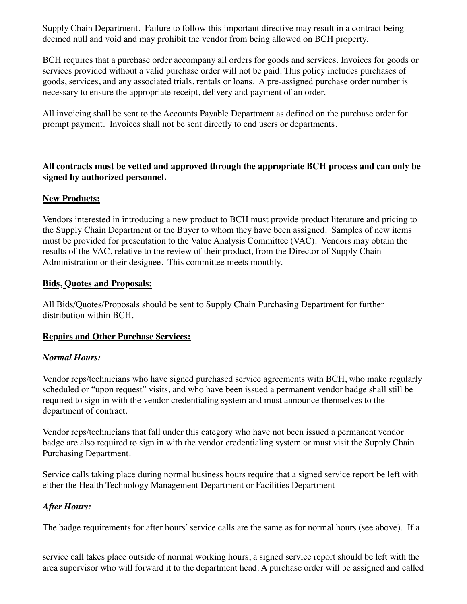Supply Chain Department. Failure to follow this important directive may result in a contract being deemed null and void and may prohibit the vendor from being allowed on BCH property.

BCH requires that a purchase order accompany all orders for goods and services. Invoices for goods or services provided without a valid purchase order will not be paid. This policy includes purchases of goods, services, and any associated trials, rentals or loans. A pre-assigned purchase order number is necessary to ensure the appropriate receipt, delivery and payment of an order.

All invoicing shall be sent to the Accounts Payable Department as defined on the purchase order for prompt payment. Invoices shall not be sent directly to end users or departments.

#### **All contracts must be vetted and approved through the appropriate BCH process and can only be signed by authorized personnel.**

#### **New Products:**

Vendors interested in introducing a new product to BCH must provide product literature and pricing to the Supply Chain Department or the Buyer to whom they have been assigned. Samples of new items must be provided for presentation to the Value Analysis Committee (VAC). Vendors may obtain the results of the VAC, relative to the review of their product, from the Director of Supply Chain Administration or their designee. This committee meets monthly.

#### **Bids, Quotes and Proposals:**

All Bids/Quotes/Proposals should be sent to Supply Chain Purchasing Department for further distribution within BCH.

#### **Repairs and Other Purchase Services:**

#### *Normal Hours:*

Vendor reps/technicians who have signed purchased service agreements with BCH, who make regularly scheduled or "upon request" visits, and who have been issued a permanent vendor badge shall still be required to sign in with the vendor credentialing system and must announce themselves to the department of contract.

Vendor reps/technicians that fall under this category who have not been issued a permanent vendor badge are also required to sign in with the vendor credentialing system or must visit the Supply Chain Purchasing Department.

Service calls taking place during normal business hours require that a signed service report be left with either the Health Technology Management Department or Facilities Department

#### *After Hours:*

The badge requirements for after hours'service calls are the same as for normal hours (see above). If a

service call takes place outside of normal working hours, a signed service report should be left with the area supervisor who will forward it to the department head. A purchase order will be assigned and called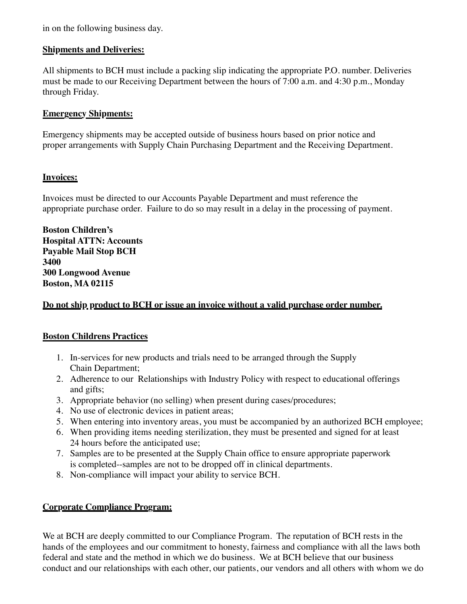in on the following business day.

#### **Shipments and Deliveries:**

All shipments to BCH must include a packing slip indicating the appropriate P.O. number. Deliveries must be made to our Receiving Department between the hours of 7:00 a.m. and 4:30 p.m., Monday through Friday.

#### **Emergency Shipments:**

Emergency shipments may be accepted outside of business hours based on prior notice and proper arrangements with Supply Chain Purchasing Department and the Receiving Department.

#### **Invoices:**

Invoices must be directed to our Accounts Payable Department and must reference the appropriate purchase order. Failure to do so may result in a delay in the processing of payment.

**Boston Children's Hospital ATTN: Accounts Payable Mail Stop BCH 3400 300 Longwood Avenue Boston, MA 02115**

#### **Do not ship product to BCH or issue an invoice without a valid purchase order number.**

#### **Boston Childrens Practices**

- 1. In-services for new products and trials need to be arranged through the Supply Chain Department;
- 2. Adherence to our Relationships with Industry Policy with respect to educational offerings and gifts;
- 3. Appropriate behavior (no selling) when present during cases/procedures;
- 4. No use of electronic devices in patient areas;
- 5. When entering into inventory areas, you must be accompanied by an authorized BCH employee;
- 6. When providing items needing sterilization, they must be presented and signed for at least 24 hours before the anticipated use;
- 7. Samples are to be presented at the Supply Chain office to ensure appropriate paperwork is completed--samples are not to be dropped off in clinical departments.
- 8. Non-compliance will impact your ability to service BCH.

#### **Corporate Compliance Program:**

We at BCH are deeply committed to our Compliance Program. The reputation of BCH rests in the hands of the employees and our commitment to honesty, fairness and compliance with all the laws both federal and state and the method in which we do business. We at BCH believe that our business conduct and our relationships with each other, our patients, our vendors and all others with whom we do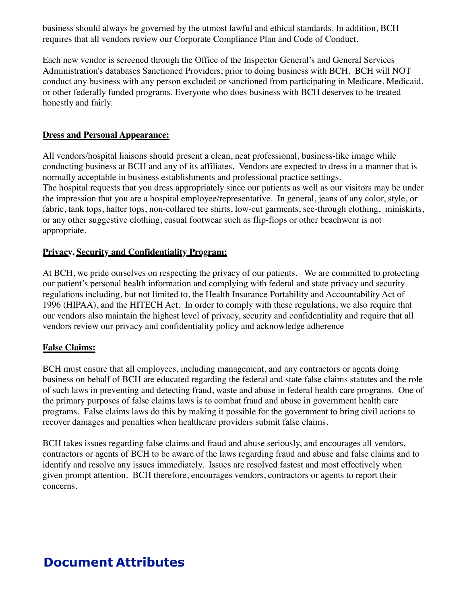business should always be governed by the utmost lawful and ethical standards. In addition, BCH requires that all vendors review our Corporate Compliance Plan and Code of Conduct.

Each new vendor is screened through the Office of the Inspector General's and General Services Administration's databases Sanctioned Providers, prior to doing business with BCH. BCH will NOT conduct any business with any person excluded or sanctioned from participating in Medicare, Medicaid, or other federally funded programs. Everyone who does business with BCH deserves to be treated honestly and fairly.

#### **Dress and Personal Appearance:**

All vendors/hospital liaisons should present a clean, neat professional, business-like image while conducting business at BCH and any of its affiliates. Vendors are expected to dress in a manner that is normally acceptable in business establishments and professional practice settings. The hospital requests that you dress appropriately since our patients as well as our visitors may be under the impression that you are a hospital employee/representative. In general, jeans of any color, style, or fabric, tank tops, halter tops, non-collared tee shirts, low-cut garments, see-through clothing, miniskirts, or any other suggestive clothing, casual footwear such as flip-flops or other beachwear is not appropriate.

#### **Privacy, Security and Confidentiality Program:**

At BCH, we pride ourselves on respecting the privacy of our patients. We are committed to protecting our patient's personal health information and complying with federal and state privacy and security regulations including, but not limited to, the Health Insurance Portability and Accountability Act of 1996 (HIPAA), and the HITECH Act. In order to comply with these regulations, we also require that our vendors also maintain the highest level of privacy, security and confidentiality and require that all vendors review our privacy and confidentiality policy and acknowledge adherence

#### **False Claims:**

BCH must ensure that all employees, including management, and any contractors or agents doing business on behalf of BCH are educated regarding the federal and state false claims statutes and the role of such laws in preventing and detecting fraud, waste and abuse in federal health care programs. One of the primary purposes of false claims laws is to combat fraud and abuse in government health care programs. False claims laws do this by making it possible for the government to bring civil actions to recover damages and penalties when healthcare providers submit false claims.

BCH takes issues regarding false claims and fraud and abuse seriously, and encourages all vendors, contractors or agents of BCH to be aware of the laws regarding fraud and abuse and false claims and to identify and resolve any issues immediately. Issues are resolved fastest and most effectively when given prompt attention. BCH therefore, encourages vendors, contractors or agents to report their concerns.

## **Document Attributes**